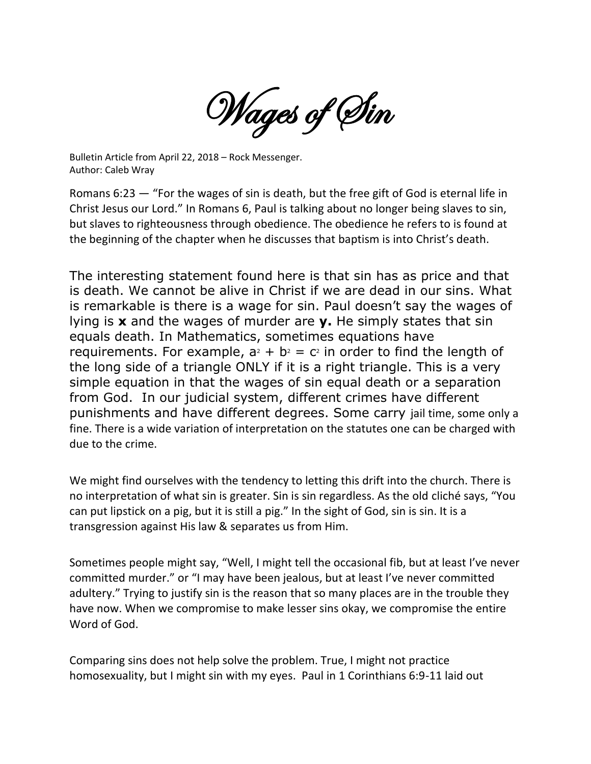Wages of Sin

Bulletin Article from April 22, 2018 – Rock Messenger. Author: Caleb Wray

Romans 6:23 — "For the wages of sin is death, but the free gift of God is eternal life in Christ Jesus our Lord." In Romans 6, Paul is talking about no longer being slaves to sin, but slaves to righteousness through obedience. The obedience he refers to is found at the beginning of the chapter when he discusses that baptism is into Christ's death.

The interesting statement found here is that sin has as price and that is death. We cannot be alive in Christ if we are dead in our sins. What is remarkable is there is a wage for sin. Paul doesn't say the wages of lying is **x** and the wages of murder are **y.** He simply states that sin equals death. In Mathematics, sometimes equations have requirements. For example,  $a^2 + b^2 = c^2$  in order to find the length of the long side of a triangle ONLY if it is a right triangle. This is a very simple equation in that the wages of sin equal death or a separation from God. In our judicial system, different crimes have different punishments and have different degrees. Some carry jail time, some only a fine. There is a wide variation of interpretation on the statutes one can be charged with due to the crime.

We might find ourselves with the tendency to letting this drift into the church. There is no interpretation of what sin is greater. Sin is sin regardless. As the old cliché says, "You can put lipstick on a pig, but it is still a pig." In the sight of God, sin is sin. It is a transgression against His law & separates us from Him.

Sometimes people might say, "Well, I might tell the occasional fib, but at least I've never committed murder." or "I may have been jealous, but at least I've never committed adultery." Trying to justify sin is the reason that so many places are in the trouble they have now. When we compromise to make lesser sins okay, we compromise the entire Word of God.

Comparing sins does not help solve the problem. True, I might not practice homosexuality, but I might sin with my eyes. Paul in 1 Corinthians 6:9-11 laid out